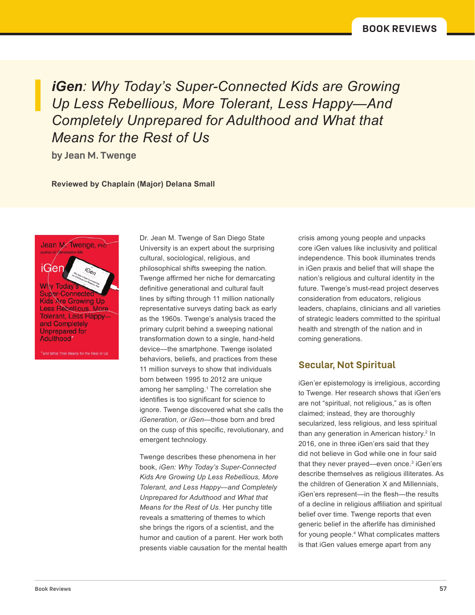*iGen: Why Today's Super-Connected Kids are Growing Up Less Rebellious, More Tolerant, Less Happy—And Completely Unprepared for Adulthood and What that Means for the Rest of Us*

**by Jean M. Twenge**

### **Reviewed by Chaplain (Major) Delana Small**

iGer Less Rebellious, More **Tolerant, Less Happy**and Completely Unprepared for Adulthood\*

Jean M. Twenge, R

What That Means for the Rest of Us

Dr. Jean M. Twenge of San Diego State University is an expert about the surprising cultural, sociological, religious, and philosophical shifts sweeping the nation. Twenge affirmed her niche for demarcating definitive generational and cultural fault lines by sifting through 11 million nationally representative surveys dating back as early as the 1960s. Twenge's analysis traced the primary culprit behind a sweeping national transformation down to a single, hand-held device—the smartphone. Twenge isolated behaviors, beliefs, and practices from these 11 million surveys to show that individuals born between 1995 to 2012 are unique among her sampling.<sup>1</sup> The correlation she identifies is too significant for science to ignore. Twenge discovered what she calls the *iGeneration, or iGen*—those born and bred on the cusp of this specific, revolutionary, and emergent technology.

Twenge describes these phenomena in her book, *iGen: Why Today's Super-Connected Kids Are Growing Up Less Rebellious, More Tolerant, and Less Happy—and Completely Unprepared for Adulthood and What that Means for the Rest of Us.* Her punchy title reveals a smattering of themes to which she brings the rigors of a scientist, and the humor and caution of a parent. Her work both presents viable causation for the mental health crisis among young people and unpacks core iGen values like inclusivity and political independence. This book illuminates trends in iGen praxis and belief that will shape the nation's religious and cultural identity in the future. Twenge's must-read project deserves consideration from educators, religious leaders, chaplains, clinicians and all varieties of strategic leaders committed to the spiritual health and strength of the nation and in coming generations.

### **Secular, Not Spiritual**

iGen'er epistemology is irreligious, according to Twenge. Her research shows that iGen'ers are not "spiritual, not religious," as is often claimed; instead, they are thoroughly secularized, less religious, and less spiritual than any generation in American history.<sup>2</sup> In 2016, one in three iGen'ers said that they did not believe in God while one in four said that they never prayed—even once.<sup>3</sup> iGen'ers describe themselves as religious illiterates. As the children of Generation X and Millennials, iGen'ers represent—in the flesh—the results of a decline in religious affiliation and spiritual belief over time. Twenge reports that even generic belief in the afterlife has diminished for young people.4 What complicates matters is that iGen values emerge apart from any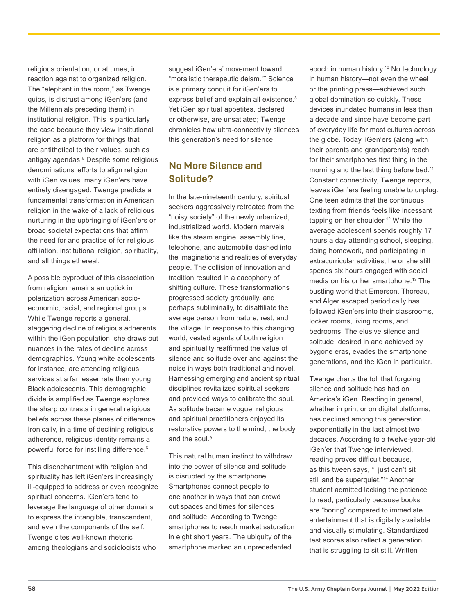religious orientation, or at times, in reaction against to organized religion. The "elephant in the room," as Twenge quips, is distrust among iGen'ers (and the Millennials preceding them) in institutional religion. This is particularly the case because they view institutional religion as a platform for things that are antithetical to their values, such as antigay agendas.5 Despite some religious denominations' efforts to align religion with iGen values, many iGen'ers have entirely disengaged. Twenge predicts a fundamental transformation in American religion in the wake of a lack of religious nurturing in the upbringing of iGen'ers or broad societal expectations that affirm the need for and practice of for religious affiliation, institutional religion, spirituality, and all things ethereal.

A possible byproduct of this dissociation from religion remains an uptick in polarization across American socioeconomic, racial, and regional groups. While Twenge reports a general, staggering decline of religious adherents within the iGen population, she draws out nuances in the rates of decline across demographics. Young white adolescents, for instance, are attending religious services at a far lesser rate than young Black adolescents. This demographic divide is amplified as Twenge explores the sharp contrasts in general religious beliefs across these planes of difference. Ironically, in a time of declining religious adherence, religious identity remains a powerful force for instilling difference.<sup>6</sup>

This disenchantment with religion and spirituality has left iGen'ers increasingly ill-equipped to address or even recognize spiritual concerns. iGen'ers tend to leverage the language of other domains to express the intangible, transcendent, and even the components of the self. Twenge cites well-known rhetoric among theologians and sociologists who

suggest iGen'ers' movement toward "moralistic therapeutic deism."7 Science is a primary conduit for iGen'ers to express belief and explain all existence.<sup>8</sup> Yet iGen spiritual appetites, declared or otherwise, are unsatiated; Twenge chronicles how ultra-connectivity silences this generation's need for silence.

## **No More Silence and Solitude?**

In the late-nineteenth century, spiritual seekers aggressively retreated from the "noisy society" of the newly urbanized, industrialized world. Modern marvels like the steam engine, assembly line, telephone, and automobile dashed into the imaginations and realities of everyday people. The collision of innovation and tradition resulted in a cacophony of shifting culture. These transformations progressed society gradually, and perhaps subliminally, to disaffiliate the average person from nature, rest, and the village. In response to this changing world, vested agents of both religion and spirituality reaffirmed the value of silence and solitude over and against the noise in ways both traditional and novel. Harnessing emerging and ancient spiritual disciplines revitalized spiritual seekers and provided ways to calibrate the soul. As solitude became vogue, religious and spiritual practitioners enjoyed its restorative powers to the mind, the body, and the soul.<sup>9</sup>

This natural human instinct to withdraw into the power of silence and solitude is disrupted by the smartphone. Smartphones connect people to one another in ways that can crowd out spaces and times for silences and solitude. According to Twenge smartphones to reach market saturation in eight short years. The ubiquity of the smartphone marked an unprecedented

epoch in human history.10 No technology in human history—not even the wheel or the printing press—achieved such global domination so quickly. These devices inundated humans in less than a decade and since have become part of everyday life for most cultures across the globe. Today, iGen'ers (along with their parents and grandparents) reach for their smartphones first thing in the morning and the last thing before bed.<sup>11</sup> Constant connectivity, Twenge reports, leaves iGen'ers feeling unable to unplug. One teen admits that the continuous texting from friends feels like incessant tapping on her shoulder.12 While the average adolescent spends roughly 17 hours a day attending school, sleeping, doing homework, and participating in extracurricular activities, he or she still spends six hours engaged with social media on his or her smartphone.<sup>13</sup> The bustling world that Emerson, Thoreau, and Alger escaped periodically has followed iGen'ers into their classrooms, locker rooms, living rooms, and bedrooms. The elusive silence and solitude, desired in and achieved by bygone eras, evades the smartphone generations, and the iGen in particular.

Twenge charts the toll that forgoing silence and solitude has had on America's iGen. Reading in general, whether in print or on digital platforms, has declined among this generation exponentially in the last almost two decades. According to a twelve-year-old iGen'er that Twenge interviewed, reading proves difficult because, as this tween says, "I just can't sit still and be superquiet."<sup>14</sup> Another student admitted lacking the patience to read, particularly because books are "boring" compared to immediate entertainment that is digitally available and visually stimulating. Standardized test scores also reflect a generation that is struggling to sit still. Written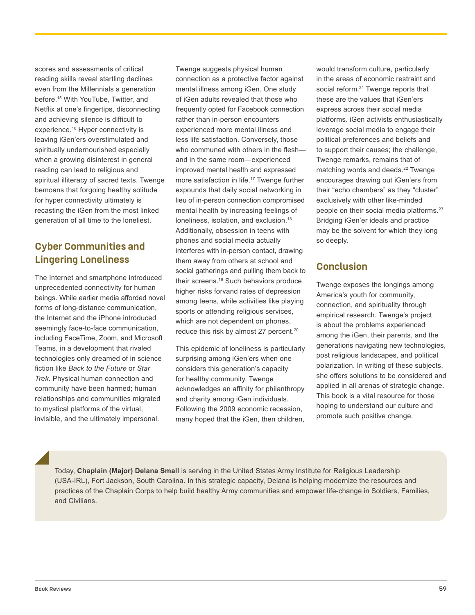scores and assessments of critical reading skills reveal startling declines even from the Millennials a generation before.<sup>15</sup> With YouTube, Twitter, and Netflix at one's fingertips, disconnecting and achieving silence is difficult to experience.<sup>16</sup> Hyper connectivity is leaving iGen'ers overstimulated and spiritually undernourished especially when a growing disinterest in general reading can lead to religious and spiritual illiteracy of sacred texts. Twenge bemoans that forgoing healthy solitude for hyper connectivity ultimately is recasting the iGen from the most linked generation of all time to the loneliest.

## **Cyber Communities and Lingering Loneliness**

The Internet and smartphone introduced unprecedented connectivity for human beings. While earlier media afforded novel forms of long-distance communication, the Internet and the iPhone introduced seemingly face-to-face communication, including FaceTime, Zoom, and Microsoft Teams, in a development that rivaled technologies only dreamed of in science fiction like *Back to the Future* or *Star Trek*. Physical human connection and community have been harmed; human relationships and communities migrated to mystical platforms of the virtual, invisible, and the ultimately impersonal.

Twenge suggests physical human connection as a protective factor against mental illness among iGen. One study of iGen adults revealed that those who frequently opted for Facebook connection rather than in-person encounters experienced more mental illness and less life satisfaction. Conversely, those who communed with others in the flesh and in the same room—experienced improved mental health and expressed more satisfaction in life.<sup>17</sup> Twenge further expounds that daily social networking in lieu of in-person connection compromised mental health by increasing feelings of loneliness, isolation, and exclusion.<sup>18</sup> Additionally, obsession in teens with phones and social media actually interferes with in-person contact, drawing them away from others at school and social gatherings and pulling them back to their screens.19 Such behaviors produce higher risks forvand rates of depression among teens, while activities like playing sports or attending religious services, which are not dependent on phones, reduce this risk by almost 27 percent.<sup>20</sup>

This epidemic of loneliness is particularly surprising among iGen'ers when one considers this generation's capacity for healthy community. Twenge acknowledges an affinity for philanthropy and charity among iGen individuals. Following the 2009 economic recession, many hoped that the iGen, then children, would transform culture, particularly in the areas of economic restraint and social reform.<sup>21</sup> Twenge reports that these are the values that iGen'ers express across their social media platforms. iGen activists enthusiastically leverage social media to engage their political preferences and beliefs and to support their causes; the challenge, Twenge remarks, remains that of matching words and deeds.<sup>22</sup> Twenge encourages drawing out iGen'ers from their "echo chambers" as they "cluster" exclusively with other like-minded people on their social media platforms.<sup>23</sup> Bridging iGen'er ideals and practice may be the solvent for which they long so deeply.

### **Conclusion**

Twenge exposes the longings among America's youth for community, connection, and spirituality through empirical research. Twenge's project is about the problems experienced among the iGen, their parents, and the generations navigating new technologies, post religious landscapes, and political polarization. In writing of these subjects, she offers solutions to be considered and applied in all arenas of strategic change. This book is a vital resource for those hoping to understand our culture and promote such positive change.

Today, **Chaplain (Major) Delana Small** is serving in the United States Army Institute for Religious Leadership (USA-IRL), Fort Jackson, South Carolina. In this strategic capacity, Delana is helping modernize the resources and practices of the Chaplain Corps to help build healthy Army communities and empower life-change in Soldiers, Families, and Civilians.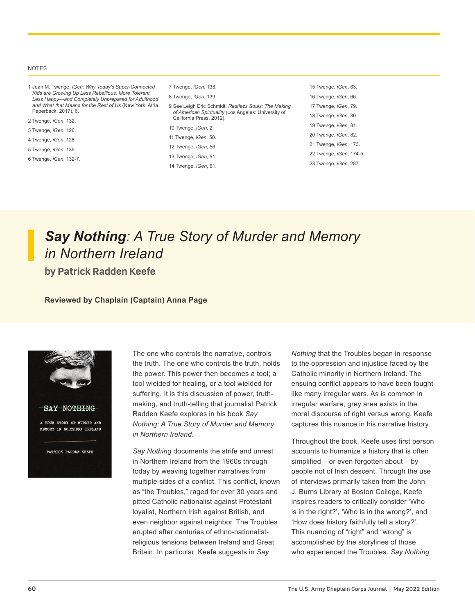#### NOTES

- 1 Jean M. Twenge, *iGen: Why Today's Super-Connected Kids are Growing Up Less Rebellious, More Tolerant, Less Happy—and Completely Unprepared for Adulthood and What that Means for the Rest of Us* (New York: Atria Paperback, 2017), 6. 2 Twenge, *iGen*, 132. 3 Twenge, *iGen*, 126. 4 Twenge, *iGen*, 128. 5 Twenge, *iGen*, 139. 7 Twenge, *iGen*, 138. 8 Twenge, *iGen*, 139. 10 Twenge, *iGen*, 2. 11 Twenge, *iGen*, 50.
- 6 Twenge, *iGen*, 132-7.
- 

| 7 Twenge, iGen, 138.                                                                                                                     | 15 Twenge, <i>iGen</i> , 63.    |
|------------------------------------------------------------------------------------------------------------------------------------------|---------------------------------|
| 8 Twenge, <i>iGen</i> , 139.                                                                                                             | 16 Twenge, <i>iGen</i> , 66.    |
| 9 See Leigh Eric Schmidt, Restless Souls: The Making<br>of American Spirituality (Los Angeles: University of<br>California Press, 2012). | 17 Twenge, iGen, 79.            |
|                                                                                                                                          | 18 Twenge, iGen, 80.            |
| 10 Twenge, iGen, 2.                                                                                                                      | 19 Twenge, <i>iGen</i> , 81.    |
| 11 Twenge, <i>iGen</i> , 50.                                                                                                             | 20 Twenge, iGen, 82.            |
| 12 Twenge, iGen, 56.                                                                                                                     | 21 Twenge, <i>iGen</i> , 173.   |
| 13 Twenge, iGen, 51.                                                                                                                     | 22 Twenge, <i>iGen</i> , 174-5. |
| 14 Twenge, <i>iGen</i> , 61.                                                                                                             | 23 Twenge, iGen, 287.           |
|                                                                                                                                          |                                 |

# *Say Nothing: A True Story of Murder and Memory in Northern Ireland*

**by Patrick Radden Keefe**

#### **Reviewed by Chaplain (Captain) Anna Page**



The one who controls the narrative, controls the truth. The one who controls the truth, holds the power. This power then becomes a tool; a tool wielded for healing, or a tool wielded for suffering. It is this discussion of power, truthmaking, and truth-telling that journalist Patrick Radden Keefe explores in his book *Say Nothing: A True Story of Murder and Memory in Northern Ireland*.

*Say Nothing* documents the strife and unrest in Northern Ireland from the 1960s through today by weaving together narratives from multiple sides of a conflict. This conflict, known as "the Troubles," raged for over 30 years and pitted Catholic nationalist against Protestant loyalist, Northern Irish against British, and even neighbor against neighbor. The Troubles erupted after centuries of ethno-nationalistreligious tensions between Ireland and Great Britain. In particular, Keefe suggests in *Say* 

*Nothing* that the Troubles began in response to the oppression and injustice faced by the Catholic minority in Northern Ireland. The ensuing conflict appears to have been fought like many irregular wars. As is common in irregular warfare, grey area exists in the moral discourse of right versus wrong. Keefe captures this nuance in his narrative history.

Throughout the book, Keefe uses first person accounts to humanize a history that is often simplified – or even forgotten about – by people not of Irish descent. Through the use of interviews primarily taken from the John J. Burns Library at Boston College, Keefe inspires readers to critically consider 'Who is in the right?', 'Who is in the wrong?', and 'How does history faithfully tell a story?'. This nuancing of "right" and "wrong" is accomplished by the storylines of those who experienced the Troubles. *Say Nothing*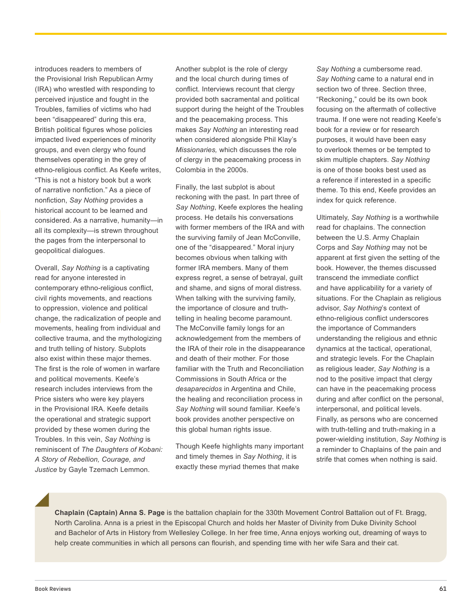introduces readers to members of the Provisional Irish Republican Army (IRA) who wrestled with responding to perceived injustice and fought in the Troubles, families of victims who had been "disappeared" during this era, British political figures whose policies impacted lived experiences of minority groups, and even clergy who found themselves operating in the grey of ethno-religious conflict. As Keefe writes, "This is not a history book but a work of narrative nonfiction." As a piece of nonfiction, *Say Nothing* provides a historical account to be learned and considered. As a narrative, humanity—in all its complexity—is strewn throughout the pages from the interpersonal to geopolitical dialogues.

Overall, *Say Nothing* is a captivating read for anyone interested in contemporary ethno-religious conflict, civil rights movements, and reactions to oppression, violence and political change, the radicalization of people and movements, healing from individual and collective trauma, and the mythologizing and truth telling of history. Subplots also exist within these major themes. The first is the role of women in warfare and political movements. Keefe's research includes interviews from the Price sisters who were key players in the Provisional IRA. Keefe details the operational and strategic support provided by these women during the Troubles. In this vein, *Say Nothing* is reminiscent of *The Daughters of Kobani: A Story of Rebellion, Courage, and Justice* by Gayle Tzemach Lemmon.

Another subplot is the role of clergy and the local church during times of conflict. Interviews recount that clergy provided both sacramental and political support during the height of the Troubles and the peacemaking process. This makes *Say Nothing* an interesting read when considered alongside Phil Klay's *Missionaries,* which discusses the role of clergy in the peacemaking process in Colombia in the 2000s.

Finally, the last subplot is about reckoning with the past. In part three of *Say Nothing*, Keefe explores the healing process. He details his conversations with former members of the IRA and with the surviving family of Jean McConville, one of the "disappeared." Moral injury becomes obvious when talking with former IRA members. Many of them express regret, a sense of betrayal, guilt and shame, and signs of moral distress. When talking with the surviving family, the importance of closure and truthtelling in healing become paramount. The McConville family longs for an acknowledgement from the members of the IRA of their role in the disappearance and death of their mother. For those familiar with the Truth and Reconciliation Commissions in South Africa or the *desaparecidos* in Argentina and Chile, the healing and reconciliation process in *Say Nothing* will sound familiar. Keefe's book provides another perspective on this global human rights issue.

Though Keefe highlights many important and timely themes in *Say Nothing*, it is exactly these myriad themes that make

*Say Nothing* a cumbersome read. *Say Nothing* came to a natural end in section two of three. Section three, "Reckoning," could be its own book focusing on the aftermath of collective trauma. If one were not reading Keefe's book for a review or for research purposes, it would have been easy to overlook themes or be tempted to skim multiple chapters. *Say Nothing*  is one of those books best used as a reference if interested in a specific theme. To this end, Keefe provides an index for quick reference.

Ultimately, *Say Nothing* is a worthwhile read for chaplains. The connection between the U.S. Army Chaplain Corps and *Say Nothing* may not be apparent at first given the setting of the book. However, the themes discussed transcend the immediate conflict and have applicability for a variety of situations. For the Chaplain as religious advisor, *Say Nothing*'s context of ethno-religious conflict underscores the importance of Commanders understanding the religious and ethnic dynamics at the tactical, operational, and strategic levels. For the Chaplain as religious leader, *Say Nothing* is a nod to the positive impact that clergy can have in the peacemaking process during and after conflict on the personal, interpersonal, and political levels. Finally, as persons who are concerned with truth-telling and truth-making in a power-wielding institution, *Say Nothing* is a reminder to Chaplains of the pain and strife that comes when nothing is said.

**Chaplain (Captain) Anna S. Page** is the battalion chaplain for the 330th Movement Control Battalion out of Ft. Bragg, North Carolina. Anna is a priest in the Episcopal Church and holds her Master of Divinity from Duke Divinity School and Bachelor of Arts in History from Wellesley College. In her free time, Anna enjoys working out, dreaming of ways to help create communities in which all persons can flourish, and spending time with her wife Sara and their cat.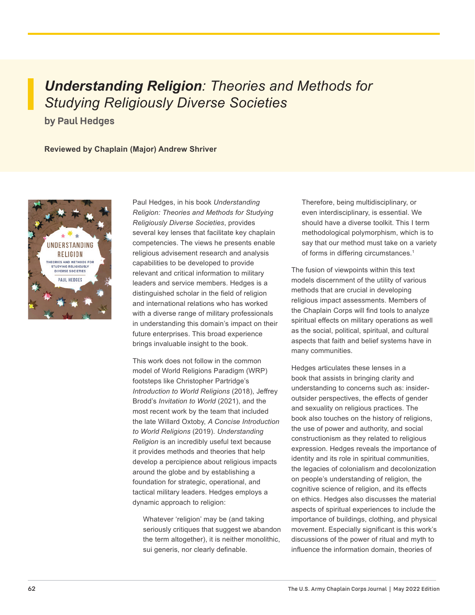# *Understanding Religion: Theories and Methods for Studying Religiously Diverse Societies*

**by Paul Hedges**

**Reviewed by Chaplain (Major) Andrew Shriver** 



Paul Hedges, in his book *Understanding Religion: Theories and Methods for Studying Religiously Diverse Societies*, provides several key lenses that facilitate key chaplain competencies. The views he presents enable religious advisement research and analysis capabilities to be developed to provide relevant and critical information to military leaders and service members. Hedges is a distinguished scholar in the field of religion and international relations who has worked with a diverse range of military professionals in understanding this domain's impact on their future enterprises. This broad experience brings invaluable insight to the book.

This work does not follow in the common model of World Religions Paradigm (WRP) footsteps like Christopher Partridge's *Introduction to World Religions* (2018), Jeffrey Brodd's *Invitation to World* (2021), and the most recent work by the team that included the late Willard Oxtoby, *A Concise Introduction to World Religions* (2019). *Understanding Religion* is an incredibly useful text because it provides methods and theories that help develop a percipience about religious impacts around the globe and by establishing a foundation for strategic, operational, and tactical military leaders. Hedges employs a dynamic approach to religion:

Whatever 'religion' may be (and taking seriously critiques that suggest we abandon the term altogether), it is neither monolithic, sui generis, nor clearly definable.

Therefore, being multidisciplinary, or even interdisciplinary, is essential. We should have a diverse toolkit. This I term methodological polymorphism, which is to say that our method must take on a variety of forms in differing circumstances.<sup>1</sup>

The fusion of viewpoints within this text models discernment of the utility of various methods that are crucial in developing religious impact assessments. Members of the Chaplain Corps will find tools to analyze spiritual effects on military operations as well as the social, political, spiritual, and cultural aspects that faith and belief systems have in many communities.

Hedges articulates these lenses in a book that assists in bringing clarity and understanding to concerns such as: insideroutsider perspectives, the effects of gender and sexuality on religious practices. The book also touches on the history of religions, the use of power and authority, and social constructionism as they related to religious expression. Hedges reveals the importance of identity and its role in spiritual communities, the legacies of colonialism and decolonization on people's understanding of religion, the cognitive science of religion, and its effects on ethics. Hedges also discusses the material aspects of spiritual experiences to include the importance of buildings, clothing, and physical movement. Especially significant is this work's discussions of the power of ritual and myth to influence the information domain, theories of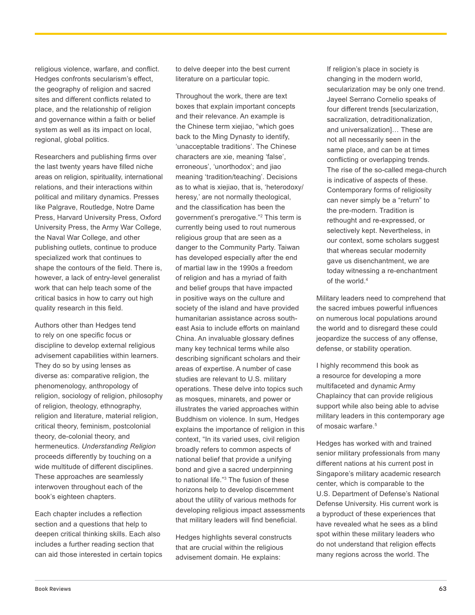religious violence, warfare, and conflict. Hedges confronts secularism's effect, the geography of religion and sacred sites and different conflicts related to place, and the relationship of religion and governance within a faith or belief system as well as its impact on local, regional, global politics.

Researchers and publishing firms over the last twenty years have filled niche areas on religion, spirituality, international relations, and their interactions within political and military dynamics. Presses like Palgrave, Routledge, Notre Dame Press, Harvard University Press, Oxford University Press, the Army War College, the Naval War College, and other publishing outlets, continue to produce specialized work that continues to shape the contours of the field. There is, however, a lack of entry-level generalist work that can help teach some of the critical basics in how to carry out high quality research in this field.

Authors other than Hedges tend to rely on one specific focus or discipline to develop external religious advisement capabilities within learners. They do so by using lenses as diverse as: comparative religion, the phenomenology, anthropology of religion, sociology of religion, philosophy of religion, theology, ethnography, religion and literature, material religion, critical theory, feminism, postcolonial theory, de-colonial theory, and hermeneutics. *Understanding Religion*  proceeds differently by touching on a wide multitude of different disciplines. These approaches are seamlessly interwoven throughout each of the book's eighteen chapters.

Each chapter includes a reflection section and a questions that help to deepen critical thinking skills. Each also includes a further reading section that can aid those interested in certain topics to delve deeper into the best current literature on a particular topic.

Throughout the work, there are text boxes that explain important concepts and their relevance. An example is the Chinese term xiejiao, "which goes back to the Ming Dynasty to identify, 'unacceptable traditions'. The Chinese characters are xie, meaning 'false', erroneous', 'unorthodox'; and jiao meaning 'tradition/teaching'. Decisions as to what is xiejiao, that is, 'heterodoxy/ heresy,' are not normally theological, and the classification has been the government's prerogative."2 This term is currently being used to rout numerous religious group that are seen as a danger to the Community Party. Taiwan has developed especially after the end of martial law in the 1990s a freedom of religion and has a myriad of faith and belief groups that have impacted in positive ways on the culture and society of the island and have provided humanitarian assistance across southeast Asia to include efforts on mainland China. An invaluable glossary defines many key technical terms while also describing significant scholars and their areas of expertise. A number of case studies are relevant to U.S. military operations. These delve into topics such as mosques, minarets, and power or illustrates the varied approaches within Buddhism on violence. In sum, Hedges explains the importance of religion in this context, "In its varied uses, civil religion broadly refers to common aspects of national belief that provide a unifying bond and give a sacred underpinning to national life."3 The fusion of these horizons help to develop discernment about the utility of various methods for developing religious impact assessments that military leaders will find beneficial.

Hedges highlights several constructs that are crucial within the religious advisement domain. He explains:

If religion's place in society is changing in the modern world, secularization may be only one trend. Jayeel Serrano Cornelio speaks of four different trends [secularization, sacralization, detraditionalization, and universalization]… These are not all necessarily seen in the same place, and can be at times conflicting or overlapping trends. The rise of the so-called mega-church is indicative of aspects of these. Contemporary forms of religiosity can never simply be a "return" to the pre-modern. Tradition is rethought and re-expressed, or selectively kept. Nevertheless, in our context, some scholars suggest that whereas secular modernity gave us disenchantment, we are today witnessing a re-enchantment of the world.<sup>4</sup>

Military leaders need to comprehend that the sacred imbues powerful influences on numerous local populations around the world and to disregard these could jeopardize the success of any offense, defense, or stability operation.

I highly recommend this book as a resource for developing a more multifaceted and dynamic Army Chaplaincy that can provide religious support while also being able to advise military leaders in this contemporary age of mosaic warfare.<sup>5</sup>

Hedges has worked with and trained senior military professionals from many different nations at his current post in Singapore's military academic research center, which is comparable to the U.S. Department of Defense's National Defense University. His current work is a byproduct of these experiences that have revealed what he sees as a blind spot within these military leaders who do not understand that religion effects many regions across the world. The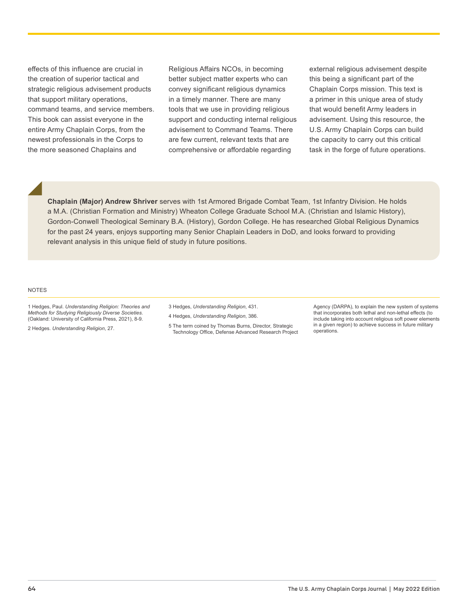effects of this influence are crucial in the creation of superior tactical and strategic religious advisement products that support military operations, command teams, and service members. This book can assist everyone in the entire Army Chaplain Corps, from the newest professionals in the Corps to the more seasoned Chaplains and

Religious Affairs NCOs, in becoming better subject matter experts who can convey significant religious dynamics in a timely manner. There are many tools that we use in providing religious support and conducting internal religious advisement to Command Teams. There are few current, relevant texts that are comprehensive or affordable regarding

**Chaplain (Major) Andrew Shriver** serves with 1st Armored Brigade Combat Team, 1st Infantry Division. He holds a M.A. (Christian Formation and Ministry) Wheaton College Graduate School M.A. (Christian and Islamic History), Gordon-Conwell Theological Seminary B.A. (History), Gordon College. He has researched Global Religious Dynamics

for the past 24 years, enjoys supporting many Senior Chaplain Leaders in DoD, and looks forward to providing

external religious advisement despite this being a significant part of the Chaplain Corps mission. This text is a primer in this unique area of study that would benefit Army leaders in advisement. Using this resource, the U.S. Army Chaplain Corps can build the capacity to carry out this critical task in the forge of future operations.

NOTES

1 Hedges, Paul. *Understanding Religion: Theories and Methods for Studying Religiously Diverse Societies*. (Oakland: University of California Press, 2021), 8-9.

relevant analysis in this unique field of study in future positions.

2 Hedges. *Understanding Religion*, 27.

- 3 Hedges, *Understanding Religion*, 431.
- 4 Hedges, *Understanding Religion*, 386.
- 5 The term coined by Thomas Burns, Director, Strategic Technology Office, Defense Advanced Research Project

Agency (DARPA), to explain the new system of systems that incorporates both lethal and non-lethal effects (to include taking into account religious soft power elements in a given region) to achieve success in future military operations.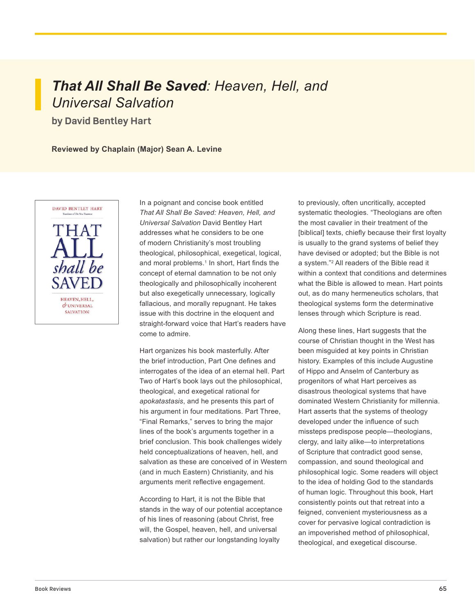# *That All Shall Be Saved: Heaven, Hell, and Universal Salvation*

**by David Bentley Hart**

**Reviewed by Chaplain (Major) Sean A. Levine**



In a poignant and concise book entitled *That All Shall Be Saved: Heaven, Hell, and Universal Salvation* David Bentley Hart addresses what he considers to be one of modern Christianity's most troubling theological, philosophical, exegetical, logical, and moral problems.<sup>1</sup> In short, Hart finds the concept of eternal damnation to be not only theologically and philosophically incoherent but also exegetically unnecessary, logically fallacious, and morally repugnant. He takes issue with this doctrine in the eloquent and straight-forward voice that Hart's readers have come to admire.

Hart organizes his book masterfully. After the brief introduction, Part One defines and interrogates of the idea of an eternal hell. Part Two of Hart's book lays out the philosophical, theological, and exegetical rational for *apokatastasis*, and he presents this part of his argument in four meditations. Part Three, "Final Remarks," serves to bring the major lines of the book's arguments together in a brief conclusion. This book challenges widely held conceptualizations of heaven, hell, and salvation as these are conceived of in Western (and in much Eastern) Christianity, and his arguments merit reflective engagement.

According to Hart, it is not the Bible that stands in the way of our potential acceptance of his lines of reasoning (about Christ, free will, the Gospel, heaven, hell, and universal salvation) but rather our longstanding loyalty

to previously, often uncritically, accepted systematic theologies. "Theologians are often the most cavalier in their treatment of the [biblical] texts, chiefly because their first loyalty is usually to the grand systems of belief they have devised or adopted; but the Bible is not a system."2 All readers of the Bible read it within a context that conditions and determines what the Bible is allowed to mean. Hart points out, as do many hermeneutics scholars, that theological systems form the determinative lenses through which Scripture is read.

Along these lines, Hart suggests that the course of Christian thought in the West has been misguided at key points in Christian history. Examples of this include Augustine of Hippo and Anselm of Canterbury as progenitors of what Hart perceives as disastrous theological systems that have dominated Western Christianity for millennia. Hart asserts that the systems of theology developed under the influence of such missteps predispose people—theologians, clergy, and laity alike—to interpretations of Scripture that contradict good sense, compassion, and sound theological and philosophical logic. Some readers will object to the idea of holding God to the standards of human logic. Throughout this book, Hart consistently points out that retreat into a feigned, convenient mysteriousness as a cover for pervasive logical contradiction is an impoverished method of philosophical, theological, and exegetical discourse.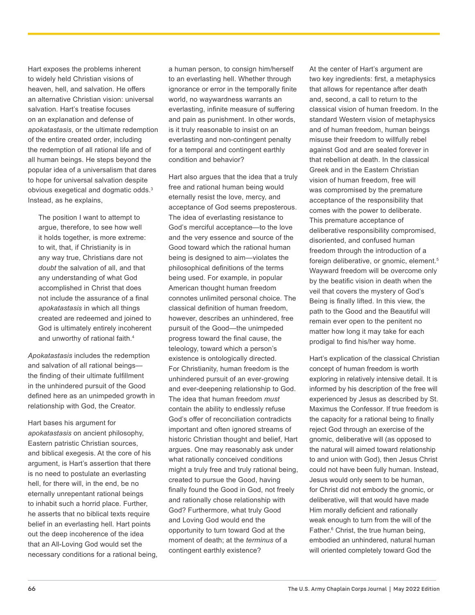Hart exposes the problems inherent to widely held Christian visions of heaven, hell, and salvation. He offers an alternative Christian vision: universal salvation. Hart's treatise focuses on an explanation and defense of *apokatastasis*, or the ultimate redemption of the entire created order, including the redemption of all rational life and of all human beings. He steps beyond the popular idea of a universalism that dares to hope for universal salvation despite obvious exegetical and dogmatic odds.3 Instead, as he explains,

The position I want to attempt to argue, therefore, to see how well it holds together, is more extreme: to wit, that, if Christianity is in any way true, Christians dare not *doubt* the salvation of all, and that any understanding of what God accomplished in Christ that does not include the assurance of a final *apokatastasis* in which all things created are redeemed and joined to God is ultimately entirely incoherent and unworthy of rational faith.<sup>4</sup>

*Apokatastasis* includes the redemption and salvation of all rational beings the finding of their ultimate fulfillment in the unhindered pursuit of the Good defined here as an unimpeded growth in relationship with God, the Creator.

Hart bases his argument for *apokatastasis* on ancient philosophy, Eastern patristic Christian sources, and biblical exegesis. At the core of his argument, is Hart's assertion that there is no need to postulate an everlasting hell, for there will, in the end, be no eternally unrepentant rational beings to inhabit such a horrid place. Further, he asserts that no biblical texts require belief in an everlasting hell. Hart points out the deep incoherence of the idea that an All-Loving God would set the necessary conditions for a rational being,

a human person, to consign him/herself to an everlasting hell. Whether through ignorance or error in the temporally finite world, no waywardness warrants an everlasting, infinite measure of suffering and pain as punishment. In other words, is it truly reasonable to insist on an everlasting and non-contingent penalty for a temporal and contingent earthly condition and behavior?

Hart also argues that the idea that a truly free and rational human being would eternally resist the love, mercy, and acceptance of God seems preposterous. The idea of everlasting resistance to God's merciful acceptance—to the love and the very essence and source of the Good toward which the rational human being is designed to aim—violates the philosophical definitions of the terms being used. For example, in popular American thought human freedom connotes unlimited personal choice. The classical definition of human freedom, however, describes an unhindered, free pursuit of the Good—the unimpeded progress toward the final cause, the teleology, toward which a person's existence is ontologically directed. For Christianity, human freedom is the unhindered pursuit of an ever-growing and ever-deepening relationship to God. The idea that human freedom *must* contain the ability to endlessly refuse God's offer of reconciliation contradicts important and often ignored streams of historic Christian thought and belief, Hart argues. One may reasonably ask under what rationally conceived conditions might a truly free and truly rational being, created to pursue the Good, having finally found the Good in God, not freely and rationally chose relationship with God? Furthermore, what truly Good and Loving God would end the opportunity to turn toward God at the moment of death; at the *terminus* of a contingent earthly existence?

At the center of Hart's argument are two key ingredients: first, a metaphysics that allows for repentance after death and, second, a call to return to the classical vision of human freedom. In the standard Western vision of metaphysics and of human freedom, human beings misuse their freedom to willfully rebel against God and are sealed forever in that rebellion at death. In the classical Greek and in the Eastern Christian vision of human freedom, free will was compromised by the premature acceptance of the responsibility that comes with the power to deliberate. This premature acceptance of deliberative responsibility compromised, disoriented, and confused human freedom through the introduction of a foreign deliberative, or gnomic, element.5 Wayward freedom will be overcome only by the beatific vision in death when the veil that covers the mystery of God's Being is finally lifted. In this view, the path to the Good and the Beautiful will remain ever open to the penitent no matter how long it may take for each prodigal to find his/her way home.

Hart's explication of the classical Christian concept of human freedom is worth exploring in relatively intensive detail. It is informed by his description of the free will experienced by Jesus as described by St. Maximus the Confessor. If true freedom is the capacity for a rational being to finally reject God through an exercise of the gnomic, deliberative will (as opposed to the natural will aimed toward relationship to and union with God), then Jesus Christ could not have been fully human. Instead, Jesus would only seem to be human, for Christ did not embody the gnomic, or deliberative, will that would have made Him morally deficient and rationally weak enough to turn from the will of the Father.6 Christ, the true human being, embodied an unhindered, natural human will oriented completely toward God the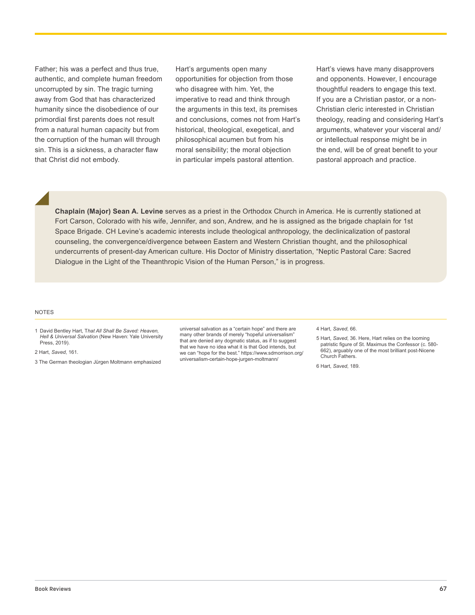Father; his was a perfect and thus true, authentic, and complete human freedom uncorrupted by sin. The tragic turning away from God that has characterized humanity since the disobedience of our primordial first parents does not result from a natural human capacity but from the corruption of the human will through sin. This is a sickness, a character flaw that Christ did not embody.

Hart's arguments open many opportunities for objection from those who disagree with him. Yet, the imperative to read and think through the arguments in this text, its premises and conclusions, comes not from Hart's historical, theological, exegetical, and philosophical acumen but from his moral sensibility; the moral objection in particular impels pastoral attention.

Hart's views have many disapprovers and opponents. However, I encourage thoughtful readers to engage this text. If you are a Christian pastor, or a non-Christian cleric interested in Christian theology, reading and considering Hart's arguments, whatever your visceral and/ or intellectual response might be in the end, will be of great benefit to your pastoral approach and practice.

**Chaplain (Major) Sean A. Levine** serves as a priest in the Orthodox Church in America. He is currently stationed at Fort Carson, Colorado with his wife, Jennifer, and son, Andrew, and he is assigned as the brigade chaplain for 1st Space Brigade. CH Levine's academic interests include theological anthropology, the declinicalization of pastoral counseling, the convergence/divergence between Eastern and Western Christian thought, and the philosophical undercurrents of present-day American culture. His Doctor of Ministry dissertation, "Neptic Pastoral Care: Sacred Dialogue in the Light of the Theanthropic Vision of the Human Person," is in progress.

#### **NOTES**

2 Hart, *Saved*, 161.

3 The German theologian Jürgen Moltmann emphasized

universal salvation as a "certain hope" and there are many other brands of merely "hopeful universalism" that are denied any dogmatic status, as if to suggest that we have no idea what it is that God intends, but we can "hope for the best." https://www.sdmorrison.org/ universalism-certain-hope-jurgen-moltmann/

4 Hart, *Saved*, 66.

5 Hart, *Saved*, 36. Here, Hart relies on the looming patristic figure of St. Maximus the Confessor (c. 580- 662), arguably one of the most brilliant post-Nicene Church Fathers.

6 Hart, *Saved*, 189.

<sup>1</sup> David Bentley Hart, T*hat All Shall Be Saved: Heaven, Hell & Universal Salvation* (New Haven: Yale University Press, 2019).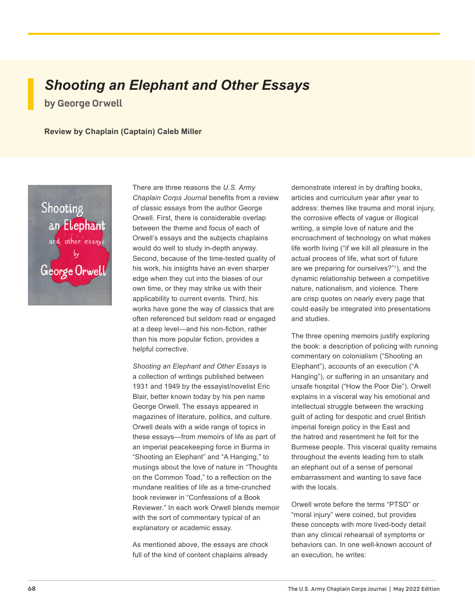## *Shooting an Elephant and Other Essays* **by George Orwell**

**Review by Chaplain (Captain) Caleb Miller**



There are three reasons the *U.S. Army Chaplain Corps Journal* benefits from a review of classic essays from the author George Orwell. First, there is considerable overlap between the theme and focus of each of Orwell's essays and the subjects chaplains would do well to study in-depth anyway. Second, because of the time-tested quality of his work, his insights have an even sharper edge when they cut into the biases of our own time, or they may strike us with their applicability to current events. Third, his works have gone the way of classics that are often referenced but seldom read or engaged at a deep level—and his non-fiction, rather than his more popular fiction, provides a helpful corrective.

*Shooting an Elephant and Other Essays* is a collection of writings published between 1931 and 1949 by the essayist/novelist Eric Blair, better known today by his pen name George Orwell. The essays appeared in magazines of literature, politics, and culture. Orwell deals with a wide range of topics in these essays—from memoirs of life as part of an imperial peacekeeping force in Burma in "Shooting an Elephant" and "A Hanging," to musings about the love of nature in "Thoughts on the Common Toad," to a reflection on the mundane realities of life as a time-crunched book reviewer in "Confessions of a Book Reviewer." In each work Orwell blends memoir with the sort of commentary typical of an explanatory or academic essay.

As mentioned above, the essays are chock full of the kind of content chaplains already

demonstrate interest in by drafting books, articles and curriculum year after year to address: themes like trauma and moral injury, the corrosive effects of vague or illogical writing, a simple love of nature and the encroachment of technology on what makes life worth living ("if we kill all pleasure in the actual process of life, what sort of future are we preparing for ourselves?"1 ), and the dynamic relationship between a competitive nature, nationalism, and violence. There are crisp quotes on nearly every page that could easily be integrated into presentations and studies.

The three opening memoirs justify exploring the book: a description of policing with running commentary on colonialism ("Shooting an Elephant"), accounts of an execution ("A Hanging"), or suffering in an unsanitary and unsafe hospital ("How the Poor Die"). Orwell explains in a visceral way his emotional and intellectual struggle between the wracking guilt of acting for despotic and cruel British imperial foreign policy in the East and the hatred and resentment he felt for the Burmese people. This visceral quality remains throughout the events leading him to stalk an elephant out of a sense of personal embarrassment and wanting to save face with the locals.

Orwell wrote before the terms "PTSD" or "moral injury" were coined, but provides these concepts with more lived-body detail than any clinical rehearsal of symptoms or behaviors can. In one well-known account of an execution, he writes: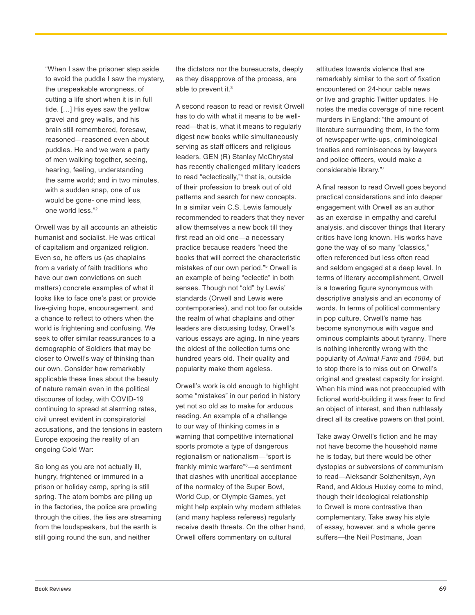"When I saw the prisoner step aside to avoid the puddle I saw the mystery, the unspeakable wrongness, of cutting a life short when it is in full tide. […] His eyes saw the yellow gravel and grey walls, and his brain still remembered, foresaw, reasoned—reasoned even about puddles. He and we were a party of men walking together, seeing, hearing, feeling, understanding the same world; and in two minutes, with a sudden snap, one of us would be gone- one mind less, one world less."2

Orwell was by all accounts an atheistic humanist and socialist. He was critical of capitalism and organized religion. Even so, he offers us (as chaplains from a variety of faith traditions who have our own convictions on such matters) concrete examples of what it looks like to face one's past or provide live-giving hope, encouragement, and a chance to reflect to others when the world is frightening and confusing. We seek to offer similar reassurances to a demographic of Soldiers that may be closer to Orwell's way of thinking than our own. Consider how remarkably applicable these lines about the beauty of nature remain even in the political discourse of today, with COVID-19 continuing to spread at alarming rates, civil unrest evident in conspiratorial accusations, and the tensions in eastern Europe exposing the reality of an ongoing Cold War:

So long as you are not actually ill, hungry, frightened or immured in a prison or holiday camp, spring is still spring. The atom bombs are piling up in the factories, the police are prowling through the cities, the lies are streaming from the loudspeakers, but the earth is still going round the sun, and neither

the dictators nor the bureaucrats, deeply as they disapprove of the process, are able to prevent it.<sup>3</sup>

A second reason to read or revisit Orwell has to do with what it means to be wellread—that is, what it means to regularly digest new books while simultaneously serving as staff officers and religious leaders. GEN (R) Stanley McChrystal has recently challenged military leaders to read "eclectically,"4 that is, outside of their profession to break out of old patterns and search for new concepts. In a similar vein C.S. Lewis famously recommended to readers that they never allow themselves a new book till they first read an old one—a necessary practice because readers "need the books that will correct the characteristic mistakes of our own period."5 Orwell is an example of being "eclectic" in both senses. Though not "old" by Lewis' standards (Orwell and Lewis were contemporaries), and not too far outside the realm of what chaplains and other leaders are discussing today, Orwell's various essays are aging. In nine years the oldest of the collection turns one hundred years old. Their quality and popularity make them ageless.

Orwell's work is old enough to highlight some "mistakes" in our period in history yet not so old as to make for arduous reading. An example of a challenge to our way of thinking comes in a warning that competitive international sports promote a type of dangerous regionalism or nationalism—"sport is frankly mimic warfare"6 —a sentiment that clashes with uncritical acceptance of the normalcy of the Super Bowl, World Cup, or Olympic Games, yet might help explain why modern athletes (and many hapless referees) regularly receive death threats. On the other hand, Orwell offers commentary on cultural

attitudes towards violence that are remarkably similar to the sort of fixation encountered on 24-hour cable news or live and graphic Twitter updates. He notes the media coverage of nine recent murders in England: "the amount of literature surrounding them, in the form of newspaper write-ups, criminological treaties and reminiscences by lawyers and police officers, would make a considerable library."7

A final reason to read Orwell goes beyond practical considerations and into deeper engagement with Orwell as an author as an exercise in empathy and careful analysis, and discover things that literary critics have long known. His works have gone the way of so many "classics," often referenced but less often read and seldom engaged at a deep level. In terms of literary accomplishment, Orwell is a towering figure synonymous with descriptive analysis and an economy of words. In terms of political commentary in pop culture, Orwell's name has become synonymous with vague and ominous complaints about tyranny. There is nothing inherently wrong with the popularity of *Animal Farm* and *1984,* but to stop there is to miss out on Orwell's original and greatest capacity for insight. When his mind was not preoccupied with fictional world-building it was freer to find an object of interest, and then ruthlessly direct all its creative powers on that point.

Take away Orwell's fiction and he may not have become the household name he is today, but there would be other dystopias or subversions of communism to read—Aleksandr Solzhenitsyn, Ayn Rand, and Aldous Huxley come to mind, though their ideological relationship to Orwell is more contrastive than complementary. Take away his style of essay, however, and a whole genre suffers—the Neil Postmans, Joan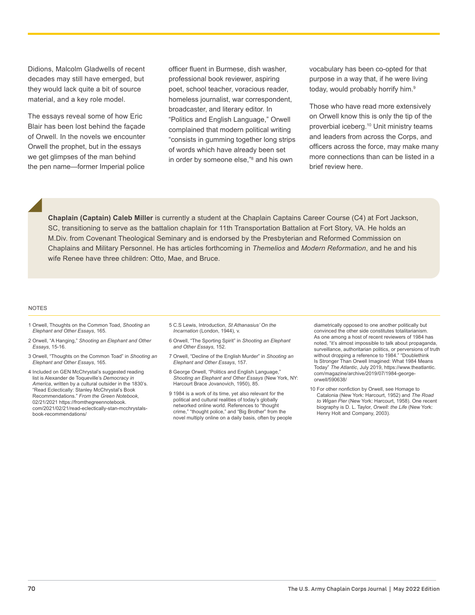Didions, Malcolm Gladwells of recent decades may still have emerged, but they would lack quite a bit of source material, and a key role model.

The essays reveal some of how Eric Blair has been lost behind the façade of Orwell. In the novels we encounter Orwell the prophet, but in the essays we get glimpses of the man behind the pen name—former Imperial police

officer fluent in Burmese, dish washer, professional book reviewer, aspiring poet, school teacher, voracious reader, homeless journalist, war correspondent, broadcaster, and literary editor. In "Politics and English Language," Orwell complained that modern political writing "consists in gumming together long strips of words which have already been set in order by someone else,"8 and his own

vocabulary has been co-opted for that purpose in a way that, if he were living today, would probably horrify him.<sup>9</sup>

Those who have read more extensively on Orwell know this is only the tip of the proverbial iceberg.10 Unit ministry teams and leaders from across the Corps, and officers across the force, may make many more connections than can be listed in a brief review here.

**Chaplain (Captain) Caleb Miller** is currently a student at the Chaplain Captains Career Course (C4) at Fort Jackson, SC, transitioning to serve as the battalion chaplain for 11th Transportation Battalion at Fort Story, VA. He holds an M.Div. from Covenant Theological Seminary and is endorsed by the Presbyterian and Reformed Commission on Chaplains and Military Personnel. He has articles forthcoming in *Themelios* and *Modern Reformation*, and he and his wife Renee have three children: Otto, Mae, and Bruce.

#### NOTES

- 1 Orwell, Thoughts on the Common Toad, *Shooting an Elephant and Other Essays*, 165.
- 2 Orwell, "A Hanging," *Shooting an Elephant and Other Essays*, 15-16.
- 3 Orwell, "Thoughts on the Common Toad" in *Shooting an Elephant and Other Essays*, 165.
- 4 Included on GEN McChrystal's suggested reading list is Alexander de Toqueville's *Democracy in America*, written by a cultural outsider in the 1830's. "Read Eclectically: Stanley McChrystal's Book Recommendations." *From the Green Notebook*, 02/21/2021 https://fromthegreennotebook. com/2021/02/21/read-eclectically-stan-mcchrystalsbook-recommendations/
- 5 C.S Lewis, Introduction, *St Athanasius' On the Incarnation* (London, 1944), v.
- 6 Orwell, "The Sporting Spirit" in *Shooting an Elephant and Other Essays*, 152.
- 7 Orwell, "Decline of the English Murder" in *Shooting an Elephant and Other Essays*, 157.
- 8 George Orwell, "Politics and English Language," *Shooting an Elephant and Other Essays* (New York, NY: Harcourt Brace Jovanovich, 1950), 85.
- 9 1984 is a work of its time, yet also relevant for the political and cultural realities of today's globally networked online world. References to "thought crime," "thought police," and "Big Brother" from the novel multiply online on a daily basis, often by people
- diametrically opposed to one another politically but convinced the other side constitutes totalitarianism. As one among a host of recent reviewers of 1984 has noted, "it's almost impossible to talk about propaganda, surveillance, authoritarian politics, or perversions of truth without dropping a reference to 1984." "Doublethink Is Stronger Than Orwell Imagined: What 1984 Means Today" *The Atlantic*, July 2019, https://www.theatlantic. com/magazine/archive/2019/07/1984-georgeorwell/590638/
- 10 For other nonfiction by Orwell, see Homage to Catalonia (New York: Harcourt, 1952) and *The Road to Wigan Pier* (New York: Harcourt, 1958). One recent biography is D. L. Taylor, *Orwell: the Life* (New York: Henry Holt and Company, 2003).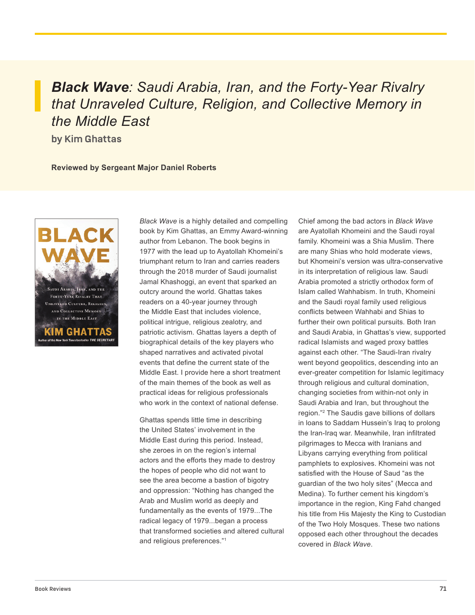*Black Wave: Saudi Arabia, Iran, and the Forty-Year Rivalry that Unraveled Culture, Religion, and Collective Memory in the Middle East*

**by Kim Ghattas**

**Reviewed by Sergeant Major Daniel Roberts** 



*Black Wave* is a highly detailed and compelling book by Kim Ghattas, an Emmy Award-winning author from Lebanon. The book begins in 1977 with the lead up to Ayatollah Khomeini's triumphant return to Iran and carries readers through the 2018 murder of Saudi journalist Jamal Khashoggi, an event that sparked an outcry around the world. Ghattas takes readers on a 40-year journey through the Middle East that includes violence, political intrigue, religious zealotry, and patriotic activism. Ghattas layers a depth of biographical details of the key players who shaped narratives and activated pivotal events that define the current state of the Middle East. I provide here a short treatment of the main themes of the book as well as practical ideas for religious professionals who work in the context of national defense.

Ghattas spends little time in describing the United States' involvement in the Middle East during this period. Instead, she zeroes in on the region's internal actors and the efforts they made to destroy the hopes of people who did not want to see the area become a bastion of bigotry and oppression: "Nothing has changed the Arab and Muslim world as deeply and fundamentally as the events of 1979...The radical legacy of 1979...began a process that transformed societies and altered cultural and religious preferences."1

Chief among the bad actors in *Black Wave*  are Ayatollah Khomeini and the Saudi royal family. Khomeini was a Shia Muslim. There are many Shias who hold moderate views, but Khomeini's version was ultra-conservative in its interpretation of religious law. Saudi Arabia promoted a strictly orthodox form of Islam called Wahhabism. In truth, Khomeini and the Saudi royal family used religious conflicts between Wahhabi and Shias to further their own political pursuits. Both Iran and Saudi Arabia, in Ghattas's view, supported radical Islamists and waged proxy battles against each other. "The Saudi-Iran rivalry went beyond geopolitics, descending into an ever-greater competition for Islamic legitimacy through religious and cultural domination, changing societies from within-not only in Saudi Arabia and Iran, but throughout the region."2 The Saudis gave billions of dollars in loans to Saddam Hussein's Iraq to prolong the Iran-Iraq war. Meanwhile, Iran infiltrated pilgrimages to Mecca with Iranians and Libyans carrying everything from political pamphlets to explosives. Khomeini was not satisfied with the House of Saud "as the guardian of the two holy sites" (Mecca and Medina). To further cement his kingdom's importance in the region, King Fahd changed his title from His Majesty the King to Custodian of the Two Holy Mosques. These two nations opposed each other throughout the decades covered in *Black Wave*.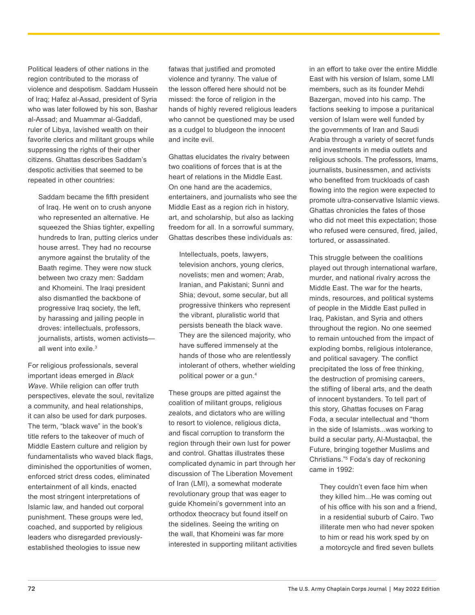Political leaders of other nations in the region contributed to the morass of violence and despotism. Saddam Hussein of Iraq; Hafez al-Assad, president of Syria who was later followed by his son, Bashar al-Assad; and Muammar al-Gaddafi, ruler of Libya, lavished wealth on their favorite clerics and militant groups while suppressing the rights of their other citizens. Ghattas describes Saddam's despotic activities that seemed to be repeated in other countries:

Saddam became the fifth president of Iraq. He went on to crush anyone who represented an alternative. He squeezed the Shias tighter, expelling hundreds to Iran, putting clerics under house arrest. They had no recourse anymore against the brutality of the Baath regime. They were now stuck between two crazy men: Saddam and Khomeini. The Iraqi president also dismantled the backbone of progressive Iraq society, the left, by harassing and jailing people in droves: intellectuals, professors, journalists, artists, women activists all went into exile.<sup>3</sup>

For religious professionals, several important ideas emerged in *Black Wave*. While religion can offer truth perspectives, elevate the soul, revitalize a community, and heal relationships, it can also be used for dark purposes. The term, "black wave" in the book's title refers to the takeover of much of Middle Eastern culture and religion by fundamentalists who waved black flags, diminished the opportunities of women, enforced strict dress codes, eliminated entertainment of all kinds, enacted the most stringent interpretations of Islamic law, and handed out corporal punishment. These groups were led, coached, and supported by religious leaders who disregarded previouslyestablished theologies to issue new

fatwas that justified and promoted violence and tyranny. The value of the lesson offered here should not be missed: the force of religion in the hands of highly revered religious leaders who cannot be questioned may be used as a cudgel to bludgeon the innocent and incite evil.

Ghattas elucidates the rivalry between two coalitions of forces that is at the heart of relations in the Middle East. On one hand are the academics, entertainers, and journalists who see the Middle East as a region rich in history, art, and scholarship, but also as lacking freedom for all. In a sorrowful summary, Ghattas describes these individuals as:

Intellectuals, poets, lawyers, television anchors, young clerics, novelists; men and women; Arab, Iranian, and Pakistani; Sunni and Shia; devout, some secular, but all progressive thinkers who represent the vibrant, pluralistic world that persists beneath the black wave. They are the silenced majority, who have suffered immensely at the hands of those who are relentlessly intolerant of others, whether wielding political power or a gun.4

These groups are pitted against the coalition of militant groups, religious zealots, and dictators who are willing to resort to violence, religious dicta, and fiscal corruption to transform the region through their own lust for power and control. Ghattas illustrates these complicated dynamic in part through her discussion of The Liberation Movement of Iran (LMI), a somewhat moderate revolutionary group that was eager to guide Khomeini's government into an orthodox theocracy but found itself on the sidelines. Seeing the writing on the wall, that Khomeini was far more interested in supporting militant activities

in an effort to take over the entire Middle East with his version of Islam, some LMI members, such as its founder Mehdi Bazergan, moved into his camp. The factions seeking to impose a puritanical version of Islam were well funded by the governments of Iran and Saudi Arabia through a variety of secret funds and investments in media outlets and religious schools. The professors, Imams, journalists, businessmen, and activists who benefited from truckloads of cash flowing into the region were expected to promote ultra-conservative Islamic views. Ghattas chronicles the fates of those who did not meet this expectation; those who refused were censured, fired, jailed, tortured, or assassinated.

This struggle between the coalitions played out through international warfare, murder, and national rivalry across the Middle East. The war for the hearts, minds, resources, and political systems of people in the Middle East pulled in Iraq, Pakistan, and Syria and others throughout the region. No one seemed to remain untouched from the impact of exploding bombs, religious intolerance, and political savagery. The conflict precipitated the loss of free thinking, the destruction of promising careers, the stifling of liberal arts, and the death of innocent bystanders. To tell part of this story, Ghattas focuses on Farag Foda, a secular intellectual and "thorn in the side of Islamists...was working to build a secular party, Al-Mustaqbal, the Future, bringing together Muslims and Christians."5 Foda's day of reckoning came in 1992:

They couldn't even face him when they killed him...He was coming out of his office with his son and a friend, in a residential suburb of Cairo. Two illiterate men who had never spoken to him or read his work sped by on a motorcycle and fired seven bullets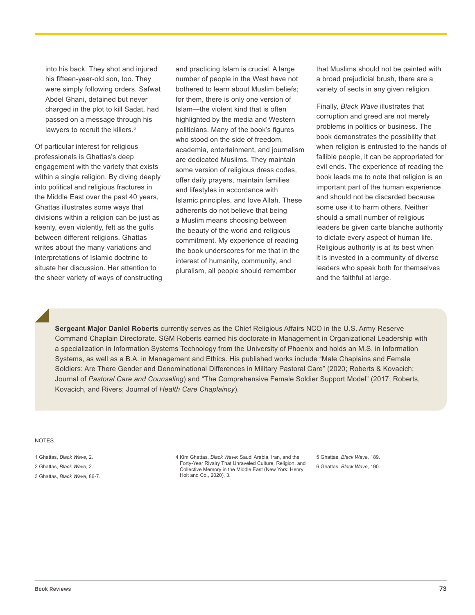into his back. They shot and injured his fifteen-year-old son, too. They were simply following orders. Safwat Abdel Ghani, detained but never charged in the plot to kill Sadat, had passed on a message through his lawyers to recruit the killers.<sup>6</sup>

Of particular interest for religious professionals is Ghattas's deep engagement with the variety that exists within a single religion. By diving deeply into political and religious fractures in the Middle East over the past 40 years, Ghattas illustrates some ways that divisions within a religion can be just as keenly, even violently, felt as the gulfs between different religions. Ghattas writes about the many variations and interpretations of Islamic doctrine to situate her discussion. Her attention to the sheer variety of ways of constructing and practicing Islam is crucial. A large number of people in the West have not bothered to learn about Muslim beliefs; for them, there is only one version of Islam—the violent kind that is often highlighted by the media and Western politicians. Many of the book's figures who stood on the side of freedom, academia, entertainment, and journalism are dedicated Muslims. They maintain some version of religious dress codes, offer daily prayers, maintain families and lifestyles in accordance with Islamic principles, and love Allah. These adherents do not believe that being a Muslim means choosing between the beauty of the world and religious commitment. My experience of reading the book underscores for me that in the interest of humanity, community, and pluralism, all people should remember

that Muslims should not be painted with a broad prejudicial brush, there are a variety of sects in any given religion.

Finally, *Black Wave* illustrates that corruption and greed are not merely problems in politics or business. The book demonstrates the possibility that when religion is entrusted to the hands of fallible people, it can be appropriated for evil ends. The experience of reading the book leads me to note that religion is an important part of the human experience and should not be discarded because some use it to harm others. Neither should a small number of religious leaders be given carte blanche authority to dictate every aspect of human life. Religious authority is at its best when it is invested in a community of diverse leaders who speak both for themselves and the faithful at large.

**Sergeant Major Daniel Roberts** currently serves as the Chief Religious Affairs NCO in the U.S. Army Reserve Command Chaplain Directorate. SGM Roberts earned his doctorate in Management in Organizational Leadership with a specialization in Information Systems Technology from the University of Phoenix and holds an M.S. in Information Systems, as well as a B.A. in Management and Ethics. His published works include "Male Chaplains and Female Soldiers: Are There Gender and Denominational Differences in Military Pastoral Care" (2020; Roberts & Kovacich; Journal of *Pastoral Care and Counseling*) and "The Comprehensive Female Soldier Support Model" (2017; Roberts, Kovacich, and Rivers; Journal of *Health Care Chaplaincy*).

#### NOTES

1 Ghattas, *Black Wave*, 2. 2 Ghattas, *Black Wave*, 2. 3 Ghattas, *Black Wave*, 86-7. 4 Kim Ghattas, *Black Wave*: Saudi Arabia, Iran, and the Forty-Year Rivalry That Unraveled Culture, Religion, and Collective Memory in the Middle East (New York: Henry Holt and Co., 2020), 3.

5 Ghattas, *Black Wave*, 189. 6 Ghattas, *Black Wave*, 190.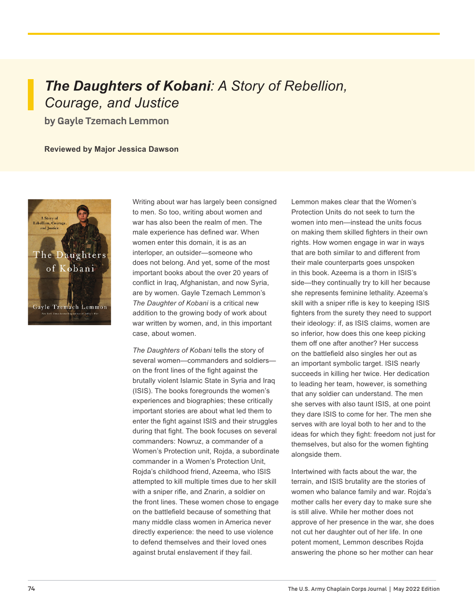# *The Daughters of Kobani: A Story of Rebellion, Courage, and Justice*

**by Gayle Tzemach Lemmon**

### **Reviewed by Major Jessica Dawson**



Writing about war has largely been consigned to men. So too, writing about women and war has also been the realm of men. The male experience has defined war. When women enter this domain, it is as an interloper, an outsider—someone who does not belong. And yet, some of the most important books about the over 20 years of conflict in Iraq, Afghanistan, and now Syria, are by women. Gayle Tzemach Lemmon's *The Daughter of Kobani* is a critical new addition to the growing body of work about war written by women, and, in this important case, about women.

*The Daughters of Kobani* tells the story of several women—commanders and soldiers on the front lines of the fight against the brutally violent Islamic State in Syria and Iraq (ISIS). The books foregrounds the women's experiences and biographies; these critically important stories are about what led them to enter the fight against ISIS and their struggles during that fight. The book focuses on several commanders: Nowruz, a commander of a Women's Protection unit, Roida, a subordinate commander in a Women's Protection Unit, Rojda's childhood friend, Azeema, who ISIS attempted to kill multiple times due to her skill with a sniper rifle, and Znarin, a soldier on the front lines. These women chose to engage on the battlefield because of something that many middle class women in America never directly experience: the need to use violence to defend themselves and their loved ones against brutal enslavement if they fail.

Lemmon makes clear that the Women's Protection Units do not seek to turn the women into men—instead the units focus on making them skilled fighters in their own rights. How women engage in war in ways that are both similar to and different from their male counterparts goes unspoken in this book. Azeema is a thorn in ISIS's side—they continually try to kill her because she represents feminine lethality. Azeema's skill with a sniper rifle is key to keeping ISIS fighters from the surety they need to support their ideology: if, as ISIS claims, women are so inferior, how does this one keep picking them off one after another? Her success on the battlefield also singles her out as an important symbolic target. ISIS nearly succeeds in killing her twice. Her dedication to leading her team, however, is something that any soldier can understand. The men she serves with also taunt ISIS, at one point they dare ISIS to come for her. The men she serves with are loyal both to her and to the ideas for which they fight: freedom not just for themselves, but also for the women fighting alongside them.

Intertwined with facts about the war, the terrain, and ISIS brutality are the stories of women who balance family and war. Rojda's mother calls her every day to make sure she is still alive. While her mother does not approve of her presence in the war, she does not cut her daughter out of her life. In one potent moment, Lemmon describes Rojda answering the phone so her mother can hear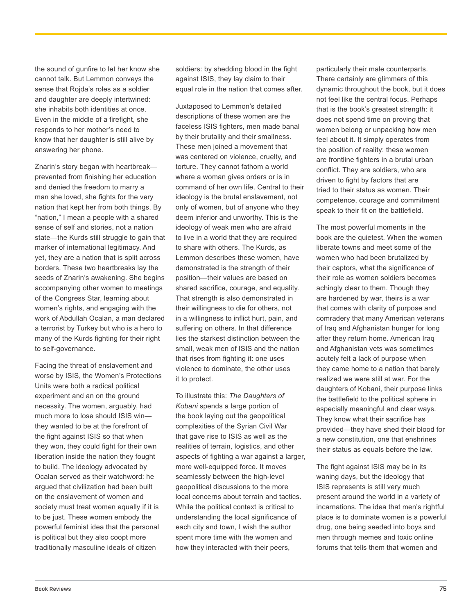the sound of gunfire to let her know she cannot talk. But Lemmon conveys the sense that Rojda's roles as a soldier and daughter are deeply intertwined: she inhabits both identities at once. Even in the middle of a firefight, she responds to her mother's need to know that her daughter is still alive by answering her phone.

Znarin's story began with heartbreak prevented from finishing her education and denied the freedom to marry a man she loved, she fights for the very nation that kept her from both things. By "nation," I mean a people with a shared sense of self and stories, not a nation state—the Kurds still struggle to gain that marker of international legitimacy. And yet, they are a nation that is split across borders. These two heartbreaks lay the seeds of Znarin's awakening. She begins accompanying other women to meetings of the Congress Star, learning about women's rights, and engaging with the work of Abdullah Ocalan, a man declared a terrorist by Turkey but who is a hero to many of the Kurds fighting for their right to self-governance.

Facing the threat of enslavement and worse by ISIS, the Women's Protections Units were both a radical political experiment and an on the ground necessity. The women, arguably, had much more to lose should ISIS win they wanted to be at the forefront of the fight against ISIS so that when they won, they could fight for their own liberation inside the nation they fought to build. The ideology advocated by Ocalan served as their watchword: he argued that civilization had been built on the enslavement of women and society must treat women equally if it is to be just. These women embody the powerful feminist idea that the personal is political but they also coopt more traditionally masculine ideals of citizen

soldiers: by shedding blood in the fight against ISIS, they lay claim to their equal role in the nation that comes after.

Juxtaposed to Lemmon's detailed descriptions of these women are the faceless ISIS fighters, men made banal by their brutality and their smallness. These men joined a movement that was centered on violence, cruelty, and torture. They cannot fathom a world where a woman gives orders or is in command of her own life. Central to their ideology is the brutal enslavement, not only of women, but of anyone who they deem inferior and unworthy. This is the ideology of weak men who are afraid to live in a world that they are required to share with others. The Kurds, as Lemmon describes these women, have demonstrated is the strength of their position—their values are based on shared sacrifice, courage, and equality. That strength is also demonstrated in their willingness to die for others, not in a willingness to inflict hurt, pain, and suffering on others. In that difference lies the starkest distinction between the small, weak men of ISIS and the nation that rises from fighting it: one uses violence to dominate, the other uses it to protect.

To illustrate this: *The Daughters of Kobani* spends a large portion of the book laying out the geopolitical complexities of the Syrian Civil War that gave rise to ISIS as well as the realities of terrain, logistics, and other aspects of fighting a war against a larger, more well-equipped force. It moves seamlessly between the high-level geopolitical discussions to the more local concerns about terrain and tactics. While the political context is critical to understanding the local significance of each city and town, I wish the author spent more time with the women and how they interacted with their peers,

particularly their male counterparts. There certainly are glimmers of this dynamic throughout the book, but it does not feel like the central focus. Perhaps that is the book's greatest strength: it does not spend time on proving that women belong or unpacking how men feel about it. It simply operates from the position of reality: these women are frontline fighters in a brutal urban conflict. They are soldiers, who are driven to fight by factors that are tried to their status as women. Their competence, courage and commitment speak to their fit on the battlefield.

The most powerful moments in the book are the quietest. When the women liberate towns and meet some of the women who had been brutalized by their captors, what the significance of their role as women soldiers becomes achingly clear to them. Though they are hardened by war, theirs is a war that comes with clarity of purpose and comradery that many American veterans of Iraq and Afghanistan hunger for long after they return home. American Iraq and Afghanistan vets was sometimes acutely felt a lack of purpose when they came home to a nation that barely realized we were still at war. For the daughters of Kobani, their purpose links the battlefield to the political sphere in especially meaningful and clear ways. They know what their sacrifice has provided—they have shed their blood for a new constitution, one that enshrines their status as equals before the law.

The fight against ISIS may be in its waning days, but the ideology that ISIS represents is still very much present around the world in a variety of incarnations. The idea that men's rightful place is to dominate women is a powerful drug, one being seeded into boys and men through memes and toxic online forums that tells them that women and